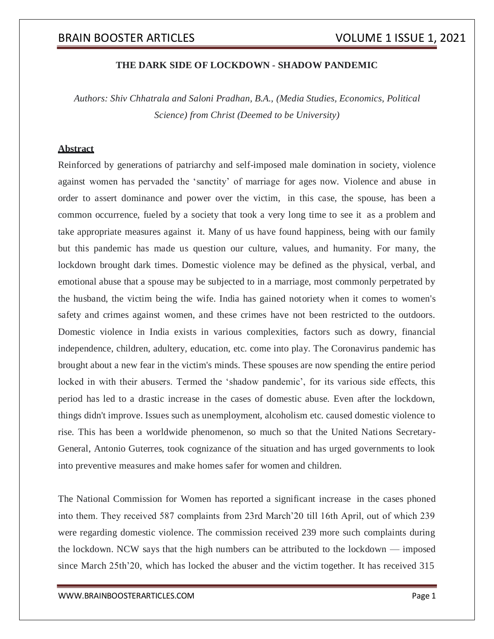#### **THE DARK SIDE OF LOCKDOWN - SHADOW PANDEMIC**

*Authors: Shiv Chhatrala and Saloni Pradhan, B.A., (Media Studies, Economics, Political Science) from Christ (Deemed to be University)*

### **Abstract**

Reinforced by generations of patriarchy and self-imposed male domination in society, violence against women has pervaded the 'sanctity' of marriage for ages now. Violence and abuse in order to assert dominance and power over the victim, in this case, the spouse, has been a common occurrence, fueled by a society that took a very long time to see it as a problem and take appropriate measures against it. Many of us have found happiness, being with our family but this pandemic has made us question our culture, values, and humanity. For many, the lockdown brought dark times. Domestic violence may be defined as the physical, verbal, and emotional abuse that a spouse may be subjected to in a marriage, most commonly perpetrated by the husband, the victim being the wife. India has gained notoriety when it comes to women's safety and crimes against women, and these crimes have not been restricted to the outdoors. Domestic violence in India exists in various complexities, factors such as dowry, financial independence, children, adultery, education, etc. come into play. The Coronavirus pandemic has brought about a new fear in the victim's minds. These spouses are now spending the entire period locked in with their abusers. Termed the 'shadow pandemic', for its various side effects, this period has led to a drastic increase in the cases of domestic abuse. Even after the lockdown, things didn't improve. Issues such as unemployment, alcoholism etc. caused domestic violence to rise. This has been a worldwide phenomenon, so much so that the United Nations Secretary-General, Antonio Guterres, took cognizance of the situation and has urged governments to look into preventive measures and make homes safer for women and children.

The National Commission for Women has reported a significant increase in the cases phoned into them. They received 587 complaints from 23rd March'20 till 16th April, out of which 239 were regarding domestic violence. The commission received 239 more such complaints during the lockdown. NCW says that the high numbers can be attributed to the lockdown — imposed since March 25th'20, which has locked the abuser and the victim together. It has received 315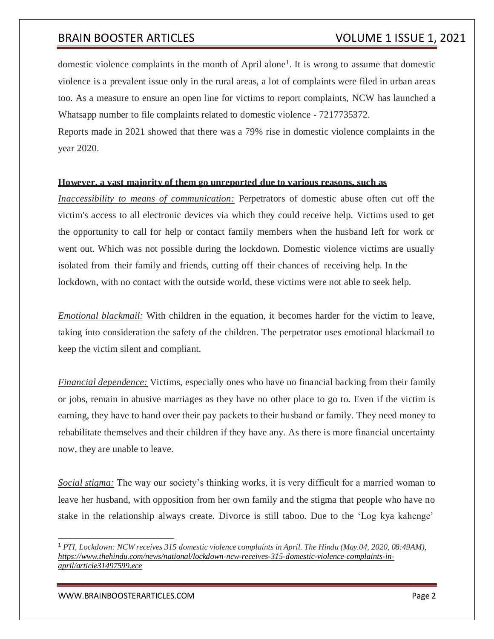domestic violence complaints in the month of April alone<sup>1</sup>. It is wrong to assume that domestic violence is a prevalent issue only in the rural areas, a lot of complaints were filed in urban areas too. As a measure to ensure an open line for victims to report complaints, NCW has launched a Whatsapp number to file complaints related to domestic violence - 7217735372.

Reports made in 2021 showed that there was a 79% rise in domestic violence complaints in the year 2020.

### **However, a vast majority of them go unreported due to various reasons, such as**

*Inaccessibility to means of communication:* Perpetrators of domestic abuse often cut off the victim's access to all electronic devices via which they could receive help. Victims used to get the opportunity to call for help or contact family members when the husband left for work or went out. Which was not possible during the lockdown. Domestic violence victims are usually isolated from their family and friends, cutting off their chances of receiving help. In the lockdown, with no contact with the outside world, these victims were not able to seek help.

*Emotional blackmail:* With children in the equation, it becomes harder for the victim to leave, taking into consideration the safety of the children. The perpetrator uses emotional blackmail to keep the victim silent and compliant.

*Financial dependence:* Victims, especially ones who have no financial backing from their family or jobs, remain in abusive marriages as they have no other place to go to. Even if the victim is earning, they have to hand over their pay packets to their husband or family. They need money to rehabilitate themselves and their children if they have any. As there is more financial uncertainty now, they are unable to leave.

*Social stigma:* The way our society's thinking works, it is very difficult for a married woman to leave her husband, with opposition from her own family and the stigma that people who have no stake in the relationship always create. Divorce is still taboo. Due to the 'Log kya kahenge'

<sup>1</sup> *PTI, Lockdown: NCW receives 315 domestic violence complaints in April. The Hindu (May.04, 2020, 08:49AM), https:/[/www.thehindu.com/news/national/lockdown-ncw-receives-315-domestic-violence-complaints-in](http://www.thehindu.com/news/national/lockdown-ncw-receives-315-domestic-violence-complaints-in-)april/article31497599.ece*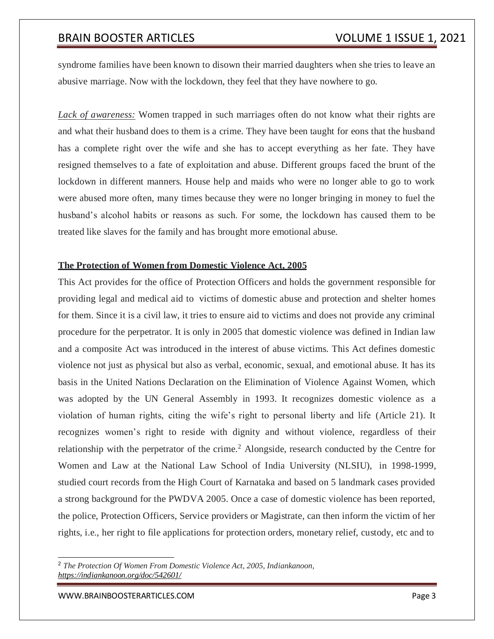syndrome families have been known to disown their married daughters when she tries to leave an abusive marriage. Now with the lockdown, they feel that they have nowhere to go.

*Lack of awareness:* Women trapped in such marriages often do not know what their rights are and what their husband does to them is a crime. They have been taught for eons that the husband has a complete right over the wife and she has to accept everything as her fate. They have resigned themselves to a fate of exploitation and abuse. Different groups faced the brunt of the lockdown in different manners. House help and maids who were no longer able to go to work were abused more often, many times because they were no longer bringing in money to fuel the husband's alcohol habits or reasons as such. For some, the lockdown has caused them to be treated like slaves for the family and has brought more emotional abuse.

### **The Protection of Women from Domestic Violence Act, 2005**

This Act provides for the office of Protection Officers and holds the government responsible for providing legal and medical aid to victims of domestic abuse and protection and shelter homes for them. Since it is a civil law, it tries to ensure aid to victims and does not provide any criminal procedure for the perpetrator. It is only in 2005 that domestic violence was defined in Indian law and a composite Act was introduced in the interest of abuse victims. This Act defines domestic violence not just as physical but also as verbal, economic, sexual, and emotional abuse. It has its basis in the United Nations Declaration on the Elimination of Violence Against Women, which was adopted by the UN General Assembly in 1993. It recognizes domestic violence as a violation of human rights, citing the wife's right to personal liberty and life (Article 21). It recognizes women's right to reside with dignity and without violence, regardless of their relationship with the perpetrator of the crime.<sup>2</sup> Alongside, research conducted by the Centre for Women and Law at the National Law School of India University (NLSIU), in 1998-1999, studied court records from the High Court of Karnataka and based on 5 landmark cases provided a strong background for the PWDVA 2005. Once a case of domestic violence has been reported, the police, Protection Officers, Service providers or Magistrate, can then inform the victim of her rights, i.e., her right to file applications for protection orders, monetary relief, custody, etc and to

[WWW.BRAINBOOSTERARTICLES.COM](http://www.brainboosterarticles.com/) **Page 3** 

<sup>2</sup> *The Protection Of Women From Domestic Violence Act, 2005, Indiankanoon, <https://indiankanoon.org/doc/542601/>*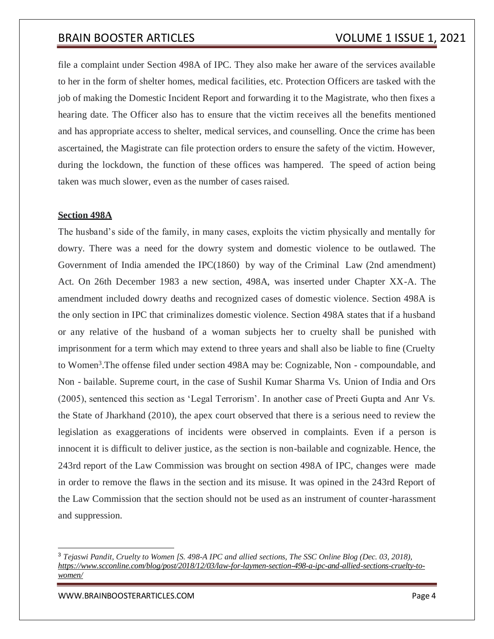file a complaint under Section 498A of IPC. They also make her aware of the services available to her in the form of shelter homes, medical facilities, etc. Protection Officers are tasked with the job of making the Domestic Incident Report and forwarding it to the Magistrate, who then fixes a hearing date. The Officer also has to ensure that the victim receives all the benefits mentioned and has appropriate access to shelter, medical services, and counselling. Once the crime has been ascertained, the Magistrate can file protection orders to ensure the safety of the victim. However, during the lockdown, the function of these offices was hampered. The speed of action being taken was much slower, even as the number of cases raised.

### **Section 498A**

The husband's side of the family, in many cases, exploits the victim physically and mentally for dowry. There was a need for the dowry system and domestic violence to be outlawed. The Government of India amended the IPC(1860) by way of the Criminal Law (2nd amendment) Act. On 26th December 1983 a new section, 498A, was inserted under Chapter XX-A. The amendment included dowry deaths and recognized cases of domestic violence. Section 498A is the only section in IPC that criminalizes domestic violence. Section 498A states that if a husband or any relative of the husband of a woman subjects her to cruelty shall be punished with imprisonment for a term which may extend to three years and shall also be liable to fine (Cruelty to Women<sup>3</sup>. The offense filed under section 498A may be: Cognizable, Non - compoundable, and Non - bailable. Supreme court, in the case of Sushil Kumar Sharma Vs. Union of India and Ors (2005), sentenced this section as 'Legal Terrorism'. In another case of Preeti Gupta and Anr Vs. the State of Jharkhand (2010), the apex court observed that there is a serious need to review the legislation as exaggerations of incidents were observed in complaints. Even if a person is innocent it is difficult to deliver justice, as the section is non-bailable and cognizable. Hence, the 243rd report of the Law Commission was brought on section 498A of IPC, changes were made in order to remove the flaws in the section and its misuse. It was opined in the 243rd Report of the Law Commission that the section should not be used as an instrument of counter-harassment and suppression.

[WWW.BRAINBOOSTERARTICLES.COM](http://www.brainboosterarticles.com/) **Page 4** 

<sup>3</sup> *Tejaswi Pandit, Cruelty to Women [S. 498-A IPC and allied sections, The SSC Online Blog (Dec. 03, 2018), [https://www.scconline.com/blog/post/2018/12/03/law-for-laymen-section-498-a-ipc-and-allied-sections-cruelty-to](https://www.scconline.com/blog/post/2018/12/03/law-for-laymen-section-498-a-ipc-and-allied-sections-cruelty-to-women/)[women/](https://www.scconline.com/blog/post/2018/12/03/law-for-laymen-section-498-a-ipc-and-allied-sections-cruelty-to-women/)*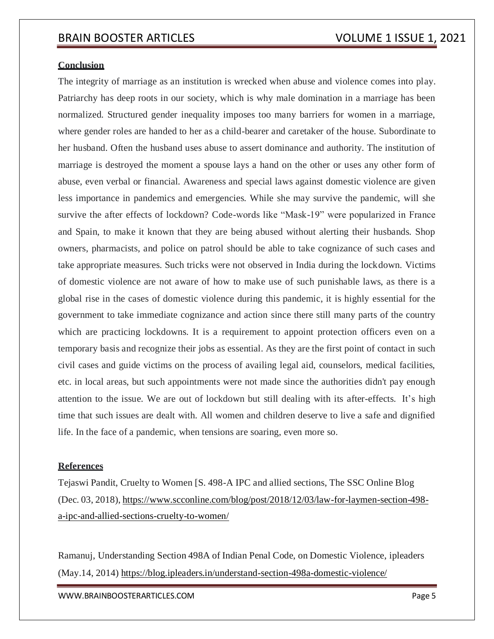#### **Conclusion**

The integrity of marriage as an institution is wrecked when abuse and violence comes into play. Patriarchy has deep roots in our society, which is why male domination in a marriage has been normalized. Structured gender inequality imposes too many barriers for women in a marriage, where gender roles are handed to her as a child-bearer and caretaker of the house. Subordinate to her husband. Often the husband uses abuse to assert dominance and authority. The institution of marriage is destroyed the moment a spouse lays a hand on the other or uses any other form of abuse, even verbal or financial. Awareness and special laws against domestic violence are given less importance in pandemics and emergencies. While she may survive the pandemic, will she survive the after effects of lockdown? Code-words like "Mask-19" were popularized in France and Spain, to make it known that they are being abused without alerting their husbands. Shop owners, pharmacists, and police on patrol should be able to take cognizance of such cases and take appropriate measures. Such tricks were not observed in India during the lockdown. Victims of domestic violence are not aware of how to make use of such punishable laws, as there is a global rise in the cases of domestic violence during this pandemic, it is highly essential for the government to take immediate cognizance and action since there still many parts of the country which are practicing lockdowns. It is a requirement to appoint protection officers even on a temporary basis and recognize their jobs as essential. As they are the first point of contact in such civil cases and guide victims on the process of availing legal aid, counselors, medical facilities, etc. in local areas, but such appointments were not made since the authorities didn't pay enough attention to the issue. We are out of lockdown but still dealing with its after-effects. It's high time that such issues are dealt with. All women and children deserve to live a safe and dignified life. In the face of a pandemic, when tensions are soaring, even more so.

#### **References**

Tejaswi Pandit, Cruelty to Women [S. 498-A IPC and allied sections, The SSC Online Blog (Dec. 03, 2018), [https://www.scconline.com/blog/post/2018/12/03/law-for-laymen-section-498](https://www.scconline.com/blog/post/2018/12/03/law-for-laymen-section-498-a-ipc-and-allied-sections-cruelty-to-women/) [a-ipc-and-allied-sections-cruelty-to-women/](https://www.scconline.com/blog/post/2018/12/03/law-for-laymen-section-498-a-ipc-and-allied-sections-cruelty-to-women/)

Ramanuj, Understanding Section 498A of Indian Penal Code, on Domestic Violence, ipleaders (May.14, 2014) https://blog.ipleaders.in/understand-section-498a-domestic-violence/

[WWW.BRAINBOOSTERARTICLES.COM](http://www.brainboosterarticles.com/) **Example 2018** 2019 12:00 Page 5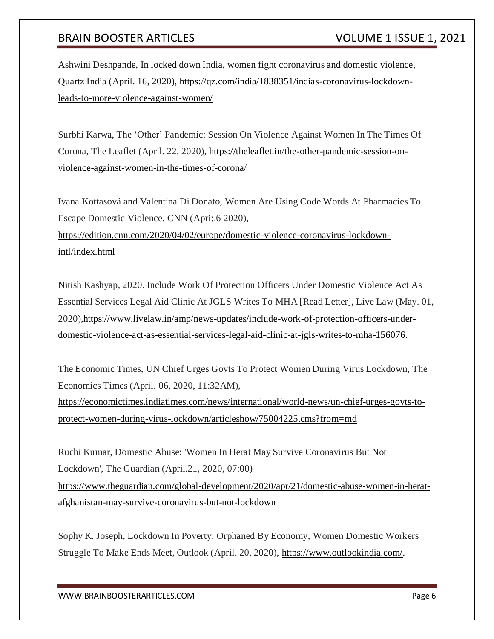Ashwini Deshpande, In locked down India, women fight coronavirus and domestic violence, Quartz India (April. 16, 2020), [https://qz.com/india/1838351/indias-coronavirus-lockdown](https://qz.com/india/1838351/indias-coronavirus-lockdown-leads-to-more-violence-against-women/)[leads-to-more-violence-against-women/](https://qz.com/india/1838351/indias-coronavirus-lockdown-leads-to-more-violence-against-women/)

Surbhi Karwa, The 'Other' Pandemic: Session On Violence Against Women In The Times Of Corona, The Leaflet (April. 22, 2020), [https://theleaflet.in/the-other-pandemic-session-on](https://theleaflet.in/the-other-pandemic-session-on-violence-against-women-in-the-times-of-corona/)[violence-against-women-in-the-times-of-corona/](https://theleaflet.in/the-other-pandemic-session-on-violence-against-women-in-the-times-of-corona/)

Ivana Kottasová and Valentina Di Donato, Women Are Using Code Words At Pharmacies To Escape Domestic Violence, CNN (Apri;.6 2020),

[https://edition.cnn.com/2020/04/02/europe/domestic-violence-coronavirus-lockdown](https://edition.cnn.com/2020/04/02/europe/domestic-violence-coronavirus-lockdown-intl/index.html)[intl/index.html](https://edition.cnn.com/2020/04/02/europe/domestic-violence-coronavirus-lockdown-intl/index.html)

Nitish Kashyap, 2020. Include Work Of Protection Officers Under Domestic Violence Act As Essential Services Legal Aid Clinic At JGLS Writes To MHA [Read Letter], Live Law (May. 01, 2020[\),https://www.livelaw.in/amp/news-updates/include-work-of-protection-officers-under](https://www.livelaw.in/amp/news-updates/include-work-of-protection-officers-under-domestic-violence-act-as-essential-services-legal-aid-clinic-at-jgls-writes-to-mha-156076)[domestic-violence-act-as-essential-services-legal-aid-clinic-at-jgls-writes-to-mha-156076.](https://www.livelaw.in/amp/news-updates/include-work-of-protection-officers-under-domestic-violence-act-as-essential-services-legal-aid-clinic-at-jgls-writes-to-mha-156076)

The Economic Times, UN Chief Urges Govts To Protect Women During Virus Lockdown, The Economics Times (April. 06, 2020, 11:32AM), [https://economictimes.indiatimes.com/news/international/world-news/un-chief-urges-govts-to](https://economictimes.indiatimes.com/news/international/world-news/un-chief-urges-govts-to-protect-women-during-virus-lockdown/articleshow/75004225.cms?from=md)[protect-women-during-virus-lockdown/articleshow/75004225.cms?from=md](https://economictimes.indiatimes.com/news/international/world-news/un-chief-urges-govts-to-protect-women-during-virus-lockdown/articleshow/75004225.cms?from=md)

Ruchi Kumar, Domestic Abuse: 'Women In Herat May Survive Coronavirus But Not Lockdown', The Guardian (April.21, 2020, 07:00) [https://www.theguardian.com/global-development/2020/apr/21/domestic-abuse-women-in-herat](https://www.theguardian.com/global-development/2020/apr/21/domestic-abuse-women-in-herat-afghanistan-may-survive-coronavirus-but-not-lockdown)[afghanistan-may-survive-coronavirus-but-not-lockdown](https://www.theguardian.com/global-development/2020/apr/21/domestic-abuse-women-in-herat-afghanistan-may-survive-coronavirus-but-not-lockdown)

Sophy K. Joseph, Lockdown In Poverty: Orphaned By Economy, Women Domestic Workers Struggle To Make Ends Meet, Outlook (April. 20, 2020), [https://www.outlookindia.com/.](https://www.outlookindia.com/)